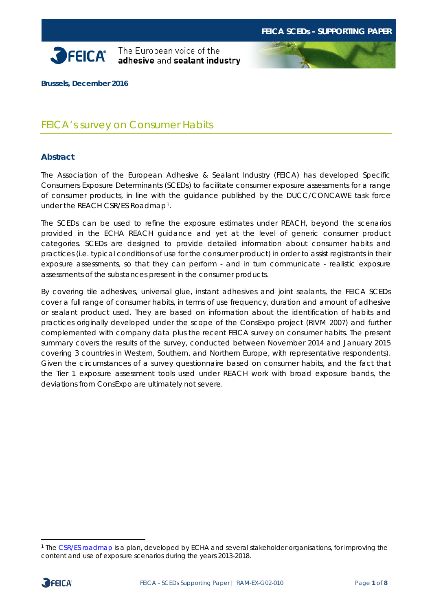



**Brussels, December 2016**

# FEICA's survey on Consumer Habits

### **Abstract**

The Association of the European Adhesive & Sealant Industry (FEICA) has developed Specific Consumers Exposure Determinants (SCEDs) to facilitate consumer exposure assessments for a range of consumer products, in line with the guidance published by the DUCC/CONCAWE task force under the REACH CSR/ES Roadmap[1](#page-0-0).

The SCEDs can be used to refine the exposure estimates under REACH, beyond the scenarios provided in the ECHA REACH guidance and yet at the level of generic consumer product categories. SCEDs are designed to provide detailed information about consumer habits and practices (i.e. typical conditions of use for the consumer product) in order to assist registrants in their exposure assessments, so that they can perform - and in turn communicate - realistic exposure assessments of the substances present in the consumer products.

By covering tile adhesives, universal glue, instant adhesives and joint sealants, the FEICA SCEDs cover a full range of consumer habits, in terms of use frequency, duration and amount of adhesive or sealant product used. They are based on information about the identification of habits and practices originally developed under the scope of the ConsExpo project (RIVM 2007) and further complemented with company data plus the recent FEICA survey on consumer habits. The present summary covers the results of the survey, conducted between November 2014 and January 2015 covering 3 countries in Western, Southern, and Northern Europe, with representative respondents). Given the circumstances of a survey questionnaire based on consumer habits, and the fact that the Tier 1 exposure assessment tools used under REACH work with broad exposure bands, the deviations from ConsExpo are ultimately not severe.

<span id="page-0-0"></span> <sup>1</sup> The [CSR/ES roadmap](https://echa.europa.eu/regulations/reach/registration/information-requirements/chemical-safety-report/csr-es-roadmap) is a plan, developed by ECHA and several stakeholder organisations, for improving the content and use of exposure scenarios during the years 2013-2018.

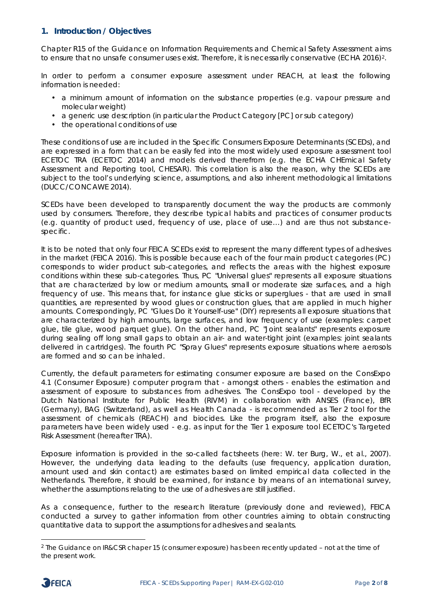### **1. Introduction / Objectives**

Chapter R15 of the Guidance on Information Requirements and Chemical Safety Assessment aims to ensure that no unsafe consumer uses exist. Therefore, it is necessarily conservative (ECHA 2016)<sup>2</sup>.

In order to perform a consumer exposure assessment under REACH, at least the following information is needed:

- a minimum amount of information on the substance properties (e.g. vapour pressure and molecular weight)
- a generic use description (in particular the Product Category [PC] or sub category)
- the operational conditions of use

These conditions of use are included in the Specific Consumers Exposure Determinants (SCEDs), and are expressed in a form that can be easily fed into the most widely used exposure assessment tool ECETOC TRA (ECETOC 2014) and models derived therefrom (e.g. the ECHA CHEmical Safety Assessment and Reporting tool, CHESAR). This correlation is also the reason, why the SCEDs are subject to the tool's underlying science, assumptions, and also inherent methodological limitations (DUCC/CONCAWE 2014).

SCEDs have been developed to transparently document the way the products are commonly used by consumers. Therefore, they describe typical habits and practices of consumer products (e.g. quantity of product used, frequency of use, place of use…) and are thus not substancespecific.

It is to be noted that only four FEICA SCEDs exist to represent the many different types of adhesives in the market (FEICA 2016). This is possible because each of the four main product categories (PC) corresponds to wider product sub-categories, and reflects the areas with the highest exposure conditions within these sub-categories. Thus, PC "Universal glues" represents all exposure situations that are characterized by low or medium amounts, small or moderate size surfaces, and a high frequency of use. This means that, for instance glue sticks or superglues - that are used in small quantities, are represented by wood glues or construction glues, that are applied in much higher amounts. Correspondingly, PC "Glues Do it Yourself-use" (DIY) represents all exposure situations that are characterized by high amounts, large surfaces, and low frequency of use (examples: carpet glue, tile glue, wood parquet glue). On the other hand, PC "Joint sealants" represents exposure during sealing off long small gaps to obtain an air- and water-tight joint (examples: joint sealants delivered in cartridges). The fourth PC "Spray Glues" represents exposure situations where aerosols are formed and so can be inhaled.

Currently, the default parameters for estimating consumer exposure are based on the ConsExpo 4.1 (Consumer Exposure) computer program that - amongst others - enables the estimation and assessment of exposure to substances from adhesives. The ConsExpo tool - developed by the Dutch National Institute for Public Health (RIVM) in collaboration with ANSES (France), BfR (Germany), BAG (Switzerland), as well as Health Canada - is recommended as Tier 2 tool for the assessment of chemicals (REACH) and biocides. Like the program itself, also the exposure parameters have been widely used - e.g. as input for the Tier 1 exposure tool ECETOC's Targeted Risk Assessment (hereafter TRA).

Exposure information is provided in the so-called factsheets (here: W. ter Burg, W., et al., 2007). However, the underlying data leading to the defaults (use frequency, application duration, amount used and skin contact) are estimates based on limited empirical data collected in the Netherlands. Therefore, it should be examined, for instance by means of an international survey, whether the assumptions relating to the use of adhesives are still justified.

As a consequence, further to the research literature (previously done and reviewed), FEICA conducted a survey to gather information from other countries aiming to obtain constructing quantitative data to support the assumptions for adhesives and sealants.

<span id="page-1-0"></span> <sup>2</sup> The Guidance on IR&CSR chaper 15 (consumer exposure) has been recently updated – not at the time of the present work.

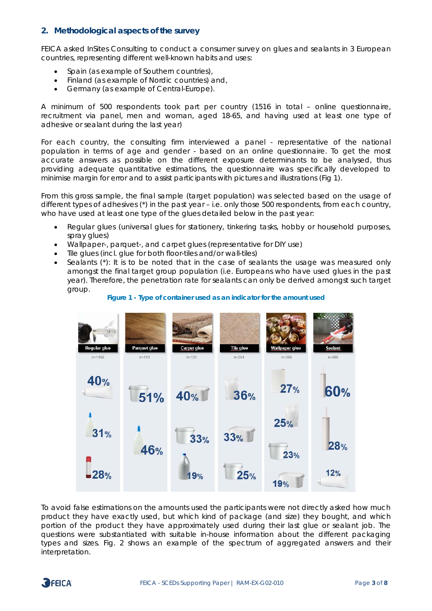#### **2. Methodological aspects of the survey**

FEICA asked *InSites Consulting* to conduct a consumer survey on glues and sealants in 3 European countries, representing different well-known habits and uses:

- Spain (as example of Southern countries),
- Finland (as example of Nordic countries) and,
- Germany (as example of Central-Europe).

A minimum of 500 respondents took part per country (1516 in total – online questionnaire, recruitment via panel, men and woman, aged 18-65, and having used at least one type of adhesive or sealant during the last year)

For each country, the consulting firm interviewed a panel - representative of the national population in terms of age and gender - based on an online questionnaire. To get the most accurate answers as possible on the different exposure determinants to be analysed, thus providing adequate quantitative estimations, the questionnaire was specifically developed to minimise margin for error and to assist participants with pictures and illustrations (Fig 1).

From this gross sample, the final sample (target population) was selected based on the usage of different types of adhesives (\*) in the past year – i.e. only those 500 respondents, from each country, who have used at least one type of the glues detailed below in the past year:

- Regular glues (universal glues for stationery, tinkering tasks, hobby or household purposes, spray glues)
- Wallpaper-, parquet-, and carpet glues (representative for DIY use)
- Tile glues (incl. glue for both floor-tiles and/or wall-tiles)
- Sealants (\*): It is to be noted that in the case of sealants the usage was measured only amongst the final target group population (i.e. Europeans who have used glues in the past year). Therefore, the penetration rate for sealants can only be derived amongst such target group.



#### **Figure 1 - Type of container used as an indicator for the amount used**

To avoid false estimations on the amounts used the participants were not directly asked how much product they have exactly used, but which kind of package (and size) they bought, and which portion of the product they have approximately used during their last glue or sealant job. The questions were substantiated with suitable in-house information about the different packaging types and sizes. Fig. 2 shows an example of the spectrum of aggregated answers and their interpretation.

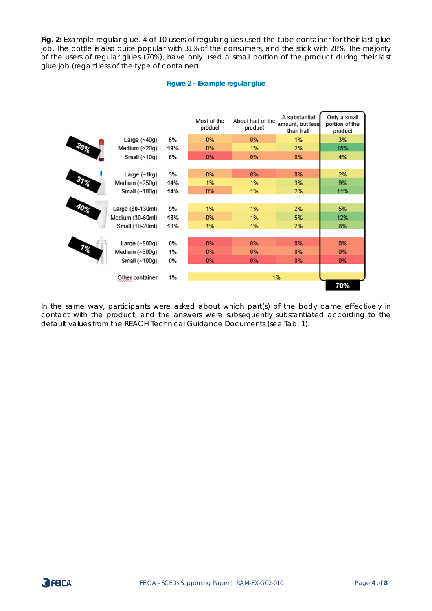Fig. 2: Example regular glue. 4 of 10 users of regular glues used the tube container for their last glue job. The bottle is also quite popular with 31% of the consumers, and the stick with 28%. The majority of the users of regular glues (70%), have only used a small portion of the product during their last glue job (regardless of the type of container).

#### **Figure 2 - Example regular glue**



In the same way, participants were asked about which part(s) of the body came effectively in contact with the product, and the answers were subsequently substantiated according to the default values from the REACH Technical Guidance Documents (see Tab. 1).

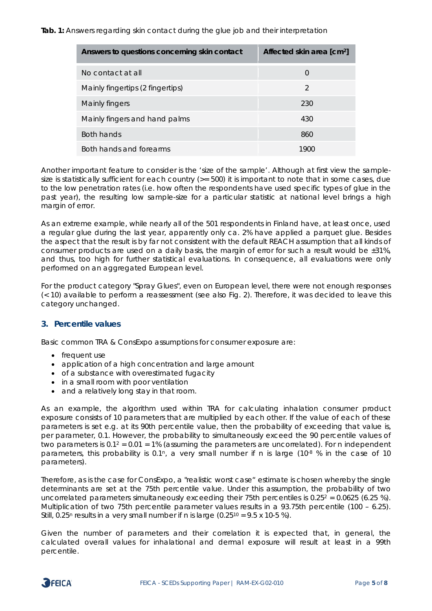**Tab. 1:** Answers regarding skin contact during the glue job and their interpretation

| Answers to questions concerning skin contact | Affected skin area [cm <sup>2</sup> ] |
|----------------------------------------------|---------------------------------------|
| No contact at all                            | $\Omega$                              |
| Mainly fingertips (2 fingertips)             | $\mathfrak{D}$                        |
| Mainly fingers                               | 230                                   |
| Mainly fingers and hand palms                | 430                                   |
| Both hands                                   | 860                                   |
| Both hands and forearms                      | 1900                                  |

Another important feature to consider is the 'size of the sample'. Although at first view the samplesize is statistically sufficient for each country ( $>= 500$ ) it is important to note that in some cases, due to the low penetration rates (i.e. how often the respondents have used specific types of glue in the past year), the resulting low sample-size for a particular statistic at national level brings a high margin of error.

As an extreme example, while nearly all of the 501 respondents in Finland have, at least once, used a regular glue during the last year, apparently only ca. 2% have applied a parquet glue. Besides the aspect that the result is by far not consistent with the default REACH assumption that all kinds of consumer products are used on a daily basis, the margin of error for such a result would be  $\pm 31\%$ . and thus, too high for further statistical evaluations. In consequence, all evaluations were only performed on an aggregated European level.

For the product category "Spray Glues", even on European level, there were not enough responses (< 10) available to perform a reassessment (see also Fig. 2). Therefore, it was decided to leave this category unchanged.

### **3. Percentile values**

Basic common TRA & ConsExpo assumptions for consumer exposure are:

- frequent use
- application of a high concentration and large amount
- of a substance with overestimated fugacity
- in a small room with poor ventilation
- and a relatively long stay in that room.

As an example, the algorithm used within TRA for calculating inhalation consumer product exposure consists of 10 parameters that are multiplied by each other. If the value of each of these parameters is set e.g. at its 90th percentile value, then the probability of exceeding that value is, per parameter, 0.1. However, the probability to simultaneously exceed the 90 percentile values of two parameters is 0.12 = 0.01 = 1% (assuming the parameters are uncorrelated). For *n* independent parameters, this probability is 0.1<sup>n</sup>, a very small number if n is large (10<sup>-8</sup> % in the case of 10 parameters).

Therefore, as is the case for ConsExpo, a "realistic worst case" estimate is chosen whereby the single determinants are set at the 75th percentile value. Under this assumption, the probability of two uncorrelated parameters simultaneously exceeding their 75th percentiles is  $0.25^2 = 0.0625$  (6.25 %). Multiplication of two 75th percentile parameter values results in a 93.75th percentile (100 – 6.25). Still,  $0.25<sup>n</sup>$  results in a very small number if n is large  $(0.25<sup>10</sup> = 9.5 \times 10<sup>-5</sup> \%)$ .

Given the number of parameters and their correlation it is expected that, in general, the calculated overall values for inhalational and dermal exposure will result at least in a 99th percentile.

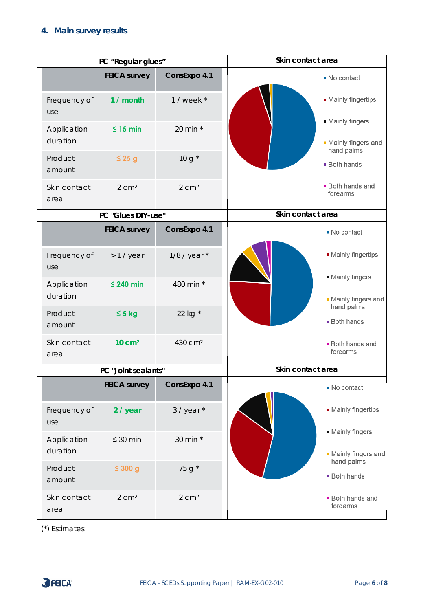# **4. Main survey results**

|                         | PC "Regular glues"  |                     | Skin contact area                        |  |
|-------------------------|---------------------|---------------------|------------------------------------------|--|
|                         | <b>FEICA survey</b> | ConsExpo 4.1        | ■ No contact                             |  |
| Frequency of<br>use     | 1 / month           | $1$ / week $*$      | • Mainly fingertips                      |  |
| Application<br>duration | $\leq 15$ min       | 20 min *            | • Mainly fingers<br>• Mainly fingers and |  |
| Product<br>amount       | $\leq 25$ g         | $10 g^*$            | hand palms<br><b>Both hands</b>          |  |
| Skin contact<br>area    | $2 \text{ cm}^2$    | 2 cm <sup>2</sup>   | <b>Both hands and</b><br>forearms        |  |
| PC "Glues DIY-use"      |                     |                     | Skin contact area                        |  |
|                         | <b>FEICA survey</b> | ConsExpo 4.1        | No contact                               |  |
| Frequency of<br>use     | $>1$ / year         | $1/8$ / year $*$    | • Mainly fingertips                      |  |
| Application<br>duration | $\leq$ 240 min      | 480 min *           | • Mainly fingers<br>- Mainly fingers and |  |
| Product<br>amount       | $\leq$ 5 kg         | 22 kg *             | hand palms<br><b>Both hands</b>          |  |
| Skin contact<br>area    | 10 cm <sup>2</sup>  | 430 cm <sup>2</sup> | <b>Both hands and</b><br>forearms        |  |
| PC "Joint sealants"     |                     |                     | Skin contact area                        |  |
|                         | <b>FEICA survey</b> | ConsExpo 4.1        | No contact                               |  |
| Frequency of<br>use     | 2 / year            | $3$ / year $*$      | • Mainly fingertips                      |  |
| Application<br>duration | $\leq 30$ min       | 30 min *            | • Mainly fingers<br>• Mainly fingers and |  |
| Product<br>amount       | $\leq 300$ g        | 75 g *              | hand palms<br><b>Both hands</b>          |  |
| Skin contact<br>area    | 2 cm <sup>2</sup>   | 2 cm <sup>2</sup>   | <b>Both hands and</b><br>forearms        |  |

(\*) Estimates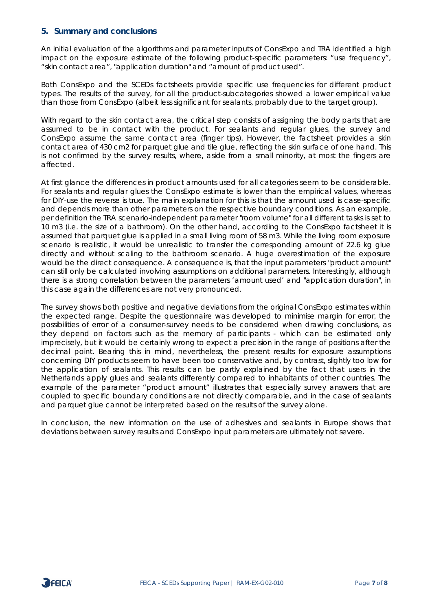### **5. Summary and conclusions**

An initial evaluation of the algorithms and parameter inputs of ConsExpo and TRA identified a high impact on the exposure estimate of the following product-specific parameters: "use frequency", "skin contact area", "application duration" and "amount of product used".

Both ConsExpo and the SCEDs factsheets provide specific use frequencies for different product types. The results of the survey, for all the product-subcategories showed a lower empirical value than those from ConsExpo (albeit less significant for sealants, probably due to the target group).

With regard to the skin contact area, the critical step consists of assigning the body parts that are assumed to be in contact with the product. For sealants and regular glues, the survey and ConsExpo assume the same contact area (finger tips). However, the factsheet provides a skin contact area of 430 cm2 for parquet glue and tile glue, reflecting the skin surface of one hand. This is not confirmed by the survey results, where, aside from a small minority, at most the fingers are affected.

At first glance the differences in product amounts used for all categories seem to be considerable. For sealants and regular glues the ConsExpo estimate is lower than the empirical values, whereas for DIY-use the reverse is true. The main explanation for this is that the amount used is case-specific and depends more than other parameters on the respective boundary conditions. As an example, per definition the TRA scenario-independent parameter "room volume" for all different tasks is set to 10 m3 (i.e. the size of a bathroom). On the other hand, according to the ConsExpo factsheet it is assumed that parquet glue is applied in a small living room of 58 m3. While the living room exposure scenario is realistic, it would be unrealistic to transfer the corresponding amount of 22.6 kg glue directly and without scaling to the bathroom scenario. A huge overestimation of the exposure would be the direct consequence. A consequence is, that the input parameters "product amount" can still only be calculated involving assumptions on additional parameters. Interestingly, although there is a strong correlation between the parameters 'amount used' and "application duration", in this case again the differences are not very pronounced.

The survey shows both positive and negative deviations from the original ConsExpo estimates within the expected range. Despite the questionnaire was developed to minimise margin for error, the possibilities of error of a consumer-survey needs to be considered when drawing conclusions, as they depend on factors such as the memory of participants - which can be estimated only imprecisely, but it would be certainly wrong to expect a precision in the range of positions after the decimal point. Bearing this in mind, nevertheless, the present results for exposure assumptions concerning DIY products seem to have been too conservative and, by contrast, slightly too low for the application of sealants. This results can be partly explained by the fact that users in the Netherlands apply glues and sealants differently compared to inhabitants of other countries. The example of the parameter "product amount" illustrates that especially survey answers that are coupled to specific boundary conditions are not directly comparable, and in the case of sealants and parquet glue cannot be interpreted based on the results of the survey alone.

In conclusion, the new information on the use of adhesives and sealants in Europe shows that deviations between survey results and ConsExpo input parameters are ultimately not severe.